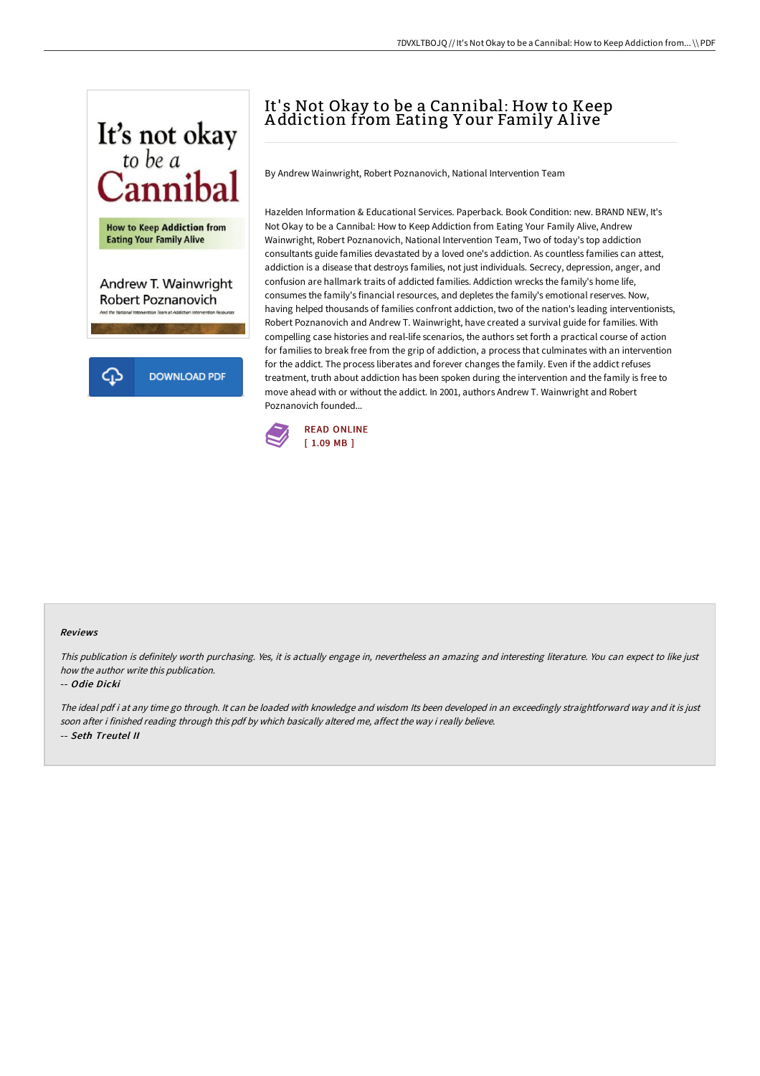

# It's Not Okay to be a Cannibal: How to Keep A ddiction from Eating Y our Family A live

By Andrew Wainwright, Robert Poznanovich, National Intervention Team

Hazelden Information & Educational Services. Paperback. Book Condition: new. BRAND NEW, It's Not Okay to be a Cannibal: How to Keep Addiction from Eating Your Family Alive, Andrew Wainwright, Robert Poznanovich, National Intervention Team, Two of today's top addiction consultants guide families devastated by a loved one's addiction. As countless families can attest, addiction is a disease that destroys families, not just individuals. Secrecy, depression, anger, and confusion are hallmark traits of addicted families. Addiction wrecks the family's home life, consumes the family's financial resources, and depletes the family's emotional reserves. Now, having helped thousands of families confront addiction, two of the nation's leading interventionists, Robert Poznanovich and Andrew T. Wainwright, have created a survival guide for families. With compelling case histories and real-life scenarios, the authors set forth a practical course of action for families to break free from the grip of addiction, a process that culminates with an intervention for the addict. The process liberates and forever changes the family. Even if the addict refuses treatment, truth about addiction has been spoken during the intervention and the family is free to move ahead with or without the addict. In 2001, authors Andrew T. Wainwright and Robert Poznanovich founded...



#### Reviews

This publication is definitely worth purchasing. Yes, it is actually engage in, nevertheless an amazing and interesting literature. You can expect to like just how the author write this publication.

### -- Odie Dicki

The ideal pdf i at any time go through. It can be loaded with knowledge and wisdom Its been developed in an exceedingly straightforward way and it is just soon after i finished reading through this pdf by which basically altered me, affect the way i really believe. -- Seth Treutel II